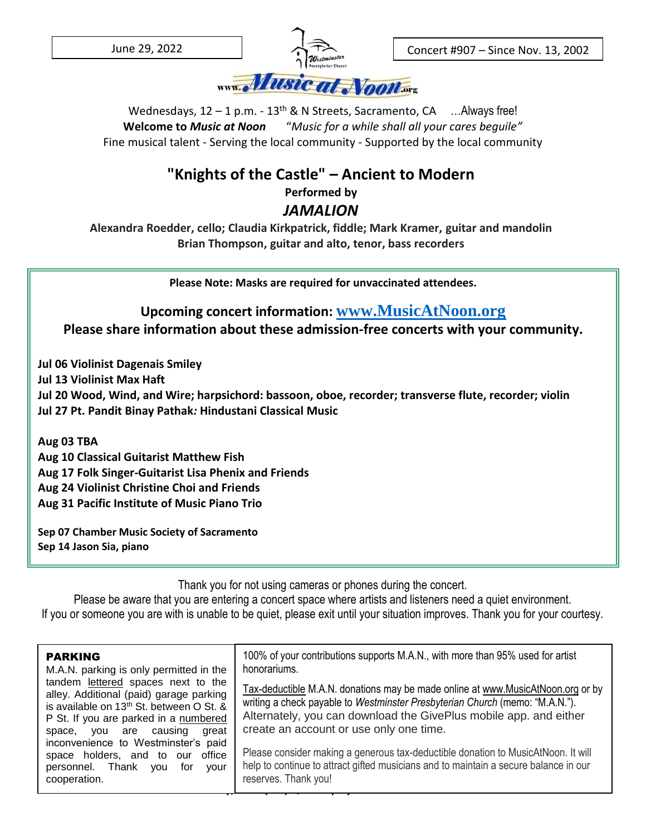

Concert #907 – Since Nov. 13, 2002

– Since Nov. 13, 2002

Wednesdays,  $12 - 1$  p.m. -  $13<sup>th</sup>$  & N Streets, Sacramento, CA ... Always free! **Welcome to** *Music at Noon* "*Music for a while shall all your cares beguile"* Fine musical talent - Serving the local community - Supported by the local community

## **"Knights of the Castle" – Ancient to Modern**

**Performed by**

## *JAMALION*

**Alexandra Roedder, cello; Claudia Kirkpatrick, fiddle; Mark Kramer, guitar and mandolin Brian Thompson, guitar and alto, tenor, bass recorders**

**Please Note: Masks are required for unvaccinated attendees.**

**Upcoming concert information: [www.MusicAtNoon.org](http://www.musicatnoon.org/) Please share information about these admission-free concerts with your community.**

**Jul 06 Violinist Dagenais Smiley**

**Jul 13 Violinist Max Haft**

**Jul 20 Wood, Wind, and Wire; harpsichord: bassoon, oboe, recorder; transverse flute, recorder; violin Jul 27 Pt. Pandit Binay Pathak***:* **Hindustani Classical Music**

**Aug 03 TBA**

**Aug 10 Classical Guitarist Matthew Fish Aug 17 Folk Singer-Guitarist Lisa Phenix and Friends Aug 24 Violinist Christine Choi and Friends Aug 31 Pacific Institute of Music Piano Trio**

**Sep 07 Chamber Music Society of Sacramento Sep 14 Jason Sia, piano**

Thank you for not using cameras or phones during the concert.

Please be aware that you are entering a concert space where artists and listeners need a quiet environment. If you or someone you are with is unable to be quiet, please exit until your situation improves. Thank you for your courtesy.

| <b>PARKING</b><br>M.A.N. parking is only permitted in the                                                                                                                                                         | 100% of your contributions supports M.A.N., with more than 95% used for artist<br>honorariums.                                                                                                                                                                                  |
|-------------------------------------------------------------------------------------------------------------------------------------------------------------------------------------------------------------------|---------------------------------------------------------------------------------------------------------------------------------------------------------------------------------------------------------------------------------------------------------------------------------|
| tandem lettered spaces next to the<br>alley. Additional (paid) garage parking<br>is available on 13 <sup>th</sup> St. between O St. &<br>P St. If you are parked in a numbered<br>space, you are causing<br>great | Tax-deductible M.A.N. donations may be made online at www.MusicAtNoon.org or by<br>writing a check payable to Westminster Presbyterian Church (memo: "M.A.N.").<br>Alternately, you can download the GivePlus mobile app. and either<br>create an account or use only one time. |
| inconvenience to Westminster's paid<br>space holders, and to our office<br>personnel. Thank<br>vou<br>for<br>vour<br>cooperation.                                                                                 | Please consider making a generous tax-deductible donation to MusicAtNoon. It will<br>help to continue to attract gifted musicians and to maintain a secure balance in our<br>reserves. Thank you!                                                                               |